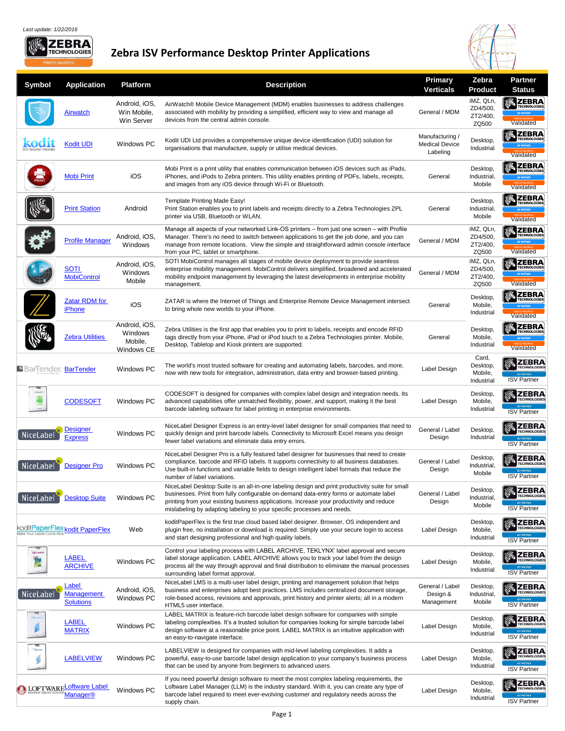

## **Zebra ISV Performance Desktop Printer Applications**



| <b>Symbol</b>        | <b>Application</b>                                          | <b>Platform</b>                                          | <b>Description</b>                                                                                                                                                                                                                                                                                                                                              | <b>Primary</b><br><b>Verticals</b>                   | Zebra<br><b>Product</b>                    | <b>Partner</b><br><b>Status</b>                                                          |
|----------------------|-------------------------------------------------------------|----------------------------------------------------------|-----------------------------------------------------------------------------------------------------------------------------------------------------------------------------------------------------------------------------------------------------------------------------------------------------------------------------------------------------------------|------------------------------------------------------|--------------------------------------------|------------------------------------------------------------------------------------------|
|                      | <b>Airwatch</b>                                             | Android, iOS,<br>Win Mobile,<br>Win Server               | AirWatch® Mobile Device Management (MDM) enables businesses to address challenges<br>associated with mobility by providing a simplified, efficient way to view and manage all<br>devices from the central admin console.                                                                                                                                        | General / MDM                                        | iMZ, QLn,<br>ZD4/500,<br>ZT2/400,<br>ZQ500 | TECHNOLOGIES<br>Validated                                                                |
|                      | <b>Kodit UDI</b>                                            | <b>Windows PC</b>                                        | Kodit UDI Ltd provides a comprehensive unique device identification (UDI) solution for<br>organisations that manufacture, supply or utilise medical devices.                                                                                                                                                                                                    | Manufacturing /<br><b>Medical Device</b><br>Labeling | Desktop,<br>Industrial                     | <b>/ 《 ZEBRA</b><br><b>TECHNOLOGIES</b><br>Validated                                     |
|                      | <b>Mobi Print</b>                                           | iOS                                                      | Mobi Print is a print utility that enables communication between iOS devices such as iPads,<br>iPhones, and iPods to Zebra printers. This utility enables printing of PDFs, labels, receipts,<br>and images from any iOS device through Wi-Fi or Bluetooth.                                                                                                     | General                                              | Desktop<br>Industrial,<br>Mobile           | <b>機 ZEBRA</b><br><b>ECHNOLOGIES</b><br>Validated                                        |
|                      | <b>Print Station</b>                                        | Android                                                  | Template Printing Made Easy!<br>Print Station enables you to print labels and receipts directly to a Zebra Technologies ZPL<br>printer via USB, Bluetooth or WLAN.                                                                                                                                                                                              | General                                              | Desktop,<br>Industrial,<br>Mobile          | <b>機ZEBRA</b><br><b>FECHNOLOGIES</b><br>Validated                                        |
|                      | <b>Profile Manager</b>                                      | Android, iOS,<br>Windows                                 | Manage all aspects of your networked Link-OS printers - from just one screen - with Profile<br>Manager. There's no need to switch between applications to get the job done, and you can<br>manage from remote locations. View the simple and straightforward admin console interface<br>from your PC, tablet or smartphone.                                     | General / MDM                                        | iMZ, QLn,<br>ZD4/500,<br>ZT2/400,<br>ZQ500 | <b>KOZZEBRA</b><br>TECHNOLOGIES<br><b>ISV PARTNER</b><br>Validated                       |
|                      | <b>SOTI</b><br><b>MobiControl</b>                           | Android, iOS,<br>Windows<br>Mobile                       | SOTI MobiControl manages all stages of mobile device deployment to provide seamless<br>enterprise mobility management. MobiControl delivers simplified, broadened and accelerated<br>mobility endpoint management by leveraging the latest developments in enterprise mobility<br>management.                                                                   | General / MDM                                        | iMZ, QLn,<br>ZD4/500,<br>ZT2/400,<br>ZQ500 | <b>KOZ ZEBRA</b><br>TECHNOLOGIES<br><b>ISV PARTNER</b><br>Validated                      |
|                      | <b>Zatar RDM for</b><br><b>iPhone</b>                       | iOS                                                      | ZATAR is where the Internet of Things and Enterprise Remote Device Management intersect<br>to bring whole new worlds to your iPhone.                                                                                                                                                                                                                            | General                                              | Desktop<br>Mobile,<br>Industrial           | <b>《《 ZEBRA</b><br>TECHNOLOGIES<br><b>ISV PARTNER</b><br>Validated                       |
|                      | <b>Zebra Utilities</b>                                      | Android, iOS,<br>Windows<br>Mobile,<br><b>Windows CE</b> | Zebra Utilities is the first app that enables you to print to labels, receipts and encode RFID<br>tags directly from your iPhone, iPad or iPod touch to a Zebra Technologies printer. Mobile,<br>Desktop, Tabletop and Kiosk printers are supported.                                                                                                            | General                                              | Desktop,<br>Mobile,<br>Industrial          | <b>ZEBRA</b><br>TECHNOLOGIES<br><b>ISV PARTNER</b><br>Validated                          |
| BarTender, BarTender |                                                             | <b>Windows PC</b>                                        | The world's most trusted software for creating and automating labels, barcodes, and more,<br>now with new tools for integration, administration, data entry and browser-based printing.                                                                                                                                                                         | Label Design                                         | Card,<br>Desktop,<br>Mobile,<br>Industrial | <b>ZEBRA</b><br><b>ECHNOLOGIES</b><br><b>ISV PARTNER</b><br><b>ISV Partner</b>           |
|                      | <b>CODESOFT</b>                                             | <b>Windows PC</b>                                        | CODESOFT is designed for companies with complex label design and integration needs. Its<br>advanced capabilities offer unmatched flexibility, power, and support, making it the best<br>barcode labeling software for label printing in enterprise environments.                                                                                                | Label Design                                         | Desktop<br>Mobile,<br>Industrial           | <b>/ ZEBRA</b><br><b><i>FECHNOLOGIES</i></b><br><b>ISV PARTNER</b><br><b>ISV Partner</b> |
| <b>NiceLabel</b>     | <b>Designer</b><br><b>Express</b>                           | Windows PC                                               | NiceLabel Designer Express is an entry-level label designer for small companies that need to<br>quickly design and print barcode labels. Connectivity to Microsoft Excel means you design<br>fewer label variations and eliminate data entry errors.                                                                                                            | General / Label<br>Design                            | Desktop<br>Industrial                      | <b>ZEBRA</b><br><b><i>FECHNOLOGIES</i></b><br><b>ISV PARTNER</b><br><b>ISV Partner</b>   |
| NiceLabel            | <b>Designer Pro</b>                                         | <b>Windows PC</b>                                        | NiceLabel Designer Pro is a fully featured label designer for businesses that need to create<br>compliance, barcode and RFID labels. It supports connectivity to all business databases.<br>Use built-in functions and variable fields to design intelligent label formats that reduce the<br>number of label variations.                                       | General / Label<br>Design                            | Desktop<br>Industrial<br>Mobile            | <b>ZEBRA</b><br><b>TECHNOLOGIES</b><br><b>ISV Partner</b>                                |
| NiceLabel            | <b>Desktop Suite</b>                                        | <b>Windows PC</b>                                        | NiceLabel Desktop Suite is an all-in-one labeling design and print productivity suite for small<br>businesses. Print from fully configurable on-demand data-entry forms or automate label<br>printing from your existing business applications. Increase your productivity and reduce<br>mislabeling by adapting labeling to your specific processes and needs. | General / Label<br>Design                            | Desktop<br>Industrial<br>Mobile            | <b>ZEBRA</b><br><b>TECHNOLOGIES</b><br><b>ISV Partner</b>                                |
|                      | koditPaperFlex kodit PaperFlex                              | Web                                                      | koditPaperFlex is the first true cloud based label designer. Browser, OS independent and<br>plugin free, no installation or download is required. Simply use your secure login to access<br>and start designing professional and high quality labels.                                                                                                           | Label Design                                         | Desktop<br>Mobile,<br>Industrial           | <b>ZEBRA</b><br><b>TECHNOLOGIES</b><br><b>ISV Partner</b>                                |
| LABEL ARCHIVI        | <b>LABEL</b><br><b>ARCHIVE</b>                              | Windows PC                                               | Control your labeling process with LABEL ARCHIVE, TEKLYNX' label approval and secure<br>label storage application. LABEL ARCHIVE allows you to track your label from the design<br>process all the way through approval and final distribution to eliminate the manual processes<br>surrounding label format approval.                                          | Label Design                                         | Desktop<br>Mobile,<br>Industrial           | <b>ZEBRA</b><br><b>TECHNOLOGIES</b><br><b>ISV PARTNER</b><br><b>ISV Partner</b>          |
| NiceLabel            | Label<br><b>Management</b><br><b>Solutions</b>              | Android, iOS,<br>Windows PC                              | NiceLabel LMS is a multi-user label design, printing and management solution that helps<br>business and enterprises adopt best practices. LMS includes centralized document storage,<br>role-based access, revisions and approvals, print history and printer alerts; all in a modern<br>HTML5 user interface.                                                  | General / Label<br>Design &<br>Management            | Desktop<br>Industrial,<br>Mobile           | <b>ZEBRA</b><br><b>TECHNOLOGIES</b><br><b>ISV PARTNER</b><br><b>ISV Partner</b>          |
|                      | <b>LABEL</b><br><b>MATRIX</b>                               | Windows PC                                               | LABEL MATRIX is feature-rich barcode label design software for companies with simple<br>labeling complexities. It's a trusted solution for companies looking for simple barcode label<br>design software at a reasonable price point. LABEL MATRIX is an intuitive application with<br>an easy-to-navigate interface.                                           | Label Design                                         | Desktop<br>Mobile,<br>Industrial           | <b>ZEBRA</b><br><b><i>FECHNOLOGIES</i></b><br><b>ISV PARTNE</b><br><b>ISV Partner</b>    |
| LABELVIEW            | <b>LABELVIEW</b>                                            | <b>Windows PC</b>                                        | LABELVIEW is designed for companies with mid-level labeling complexities. It adds a<br>powerful, easy-to-use barcode label design application to your company's business process<br>that can be used by anyone from beginners to advanced users.                                                                                                                | Label Design                                         | Desktop<br>Mobile,<br>Industrial           | <b>ZEBRA</b><br><b>ECHNOLOGIES</b><br><b>ISV Partner</b>                                 |
|                      | <u>LOFTWARELoftware Label</u><br><b>Manager<sup>®</sup></b> | Windows PC                                               | If you need powerful design software to meet the most complex labeling requirements, the<br>Loftware Label Manager (LLM) is the industry standard. With it, you can create any type of<br>barcode label required to meet ever-evolving customer and regulatory needs across the<br>supply chain.                                                                | Label Design                                         | Desktop<br>Mobile,<br>Industrial           | <b>ZEBRA</b><br><b>FECHNOLOGIES</b><br><b>ISV PARTNER</b><br><b>ISV Partner</b>          |